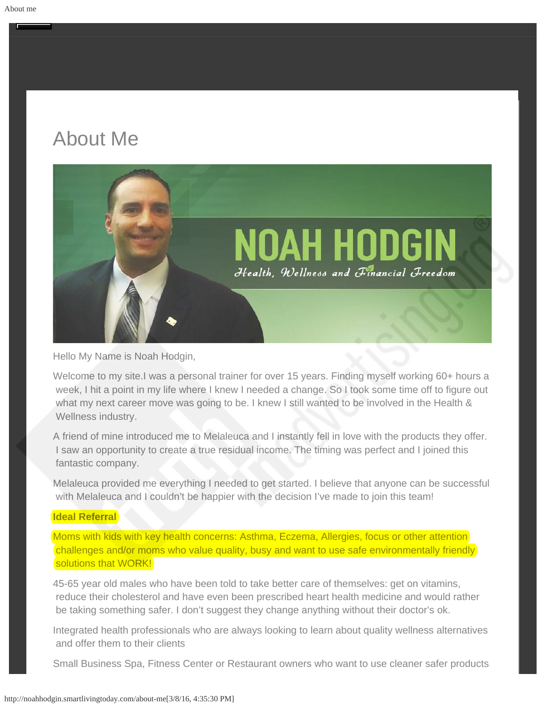# About Me



Hello My Name is Noah Hodgin,

Welcome to my site.I was a personal trainer for over 15 years. Finding myself working 60+ hours a week, I hit a point in my life where I knew I needed a change. So I took some time off to figure out what my next career move was going to be. I knew I still wanted to be involved in the Health & Wellness industry.

A friend of mine introduced me to Melaleuca and I instantly fell in love with the products they offer. I saw an opportunity to create a true residual income. The timing was perfect and I joined this fantastic company.

Melaleuca provided me everything I needed to get started. I believe that anyone can be successful with Melaleuca and I couldn't be happier with the decision I've made to join this team!

# **Ideal Referral**

Moms with kids with key health concerns: Asthma, Eczema, Allergies, focus or other attention challenges and/or moms who value quality, busy and want to use safe environmentally friendly solutions that WORK!

45-65 year old males who have been told to take better care of themselves: get on vitamins, reduce their cholesterol and have even been prescribed heart health medicine and would rather be taking something safer. I don't suggest they change anything without their doctor's ok.

Integrated health professionals who are always looking to learn about quality wellness alternatives and offer them to their clients

Small Business Spa, Fitness Center or Restaurant owners who want to use cleaner safer products